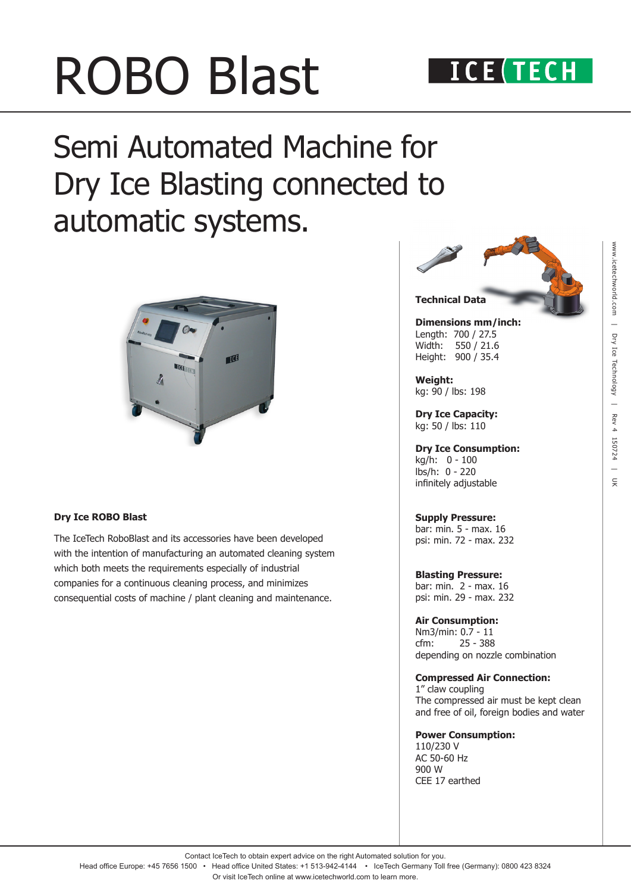# ROBO Blast

## Semi Automated Machine for Dry Ice Blasting connected to automatic systems.



### **Dry Ice ROBO Blast**

The IceTech RoboBlast and its accessories have been developed with the intention of manufacturing an automated cleaning system which both meets the requirements especially of industrial companies for a continuous cleaning process, and minimizes consequential costs of machine / plant cleaning and maintenance.



**Dimensions mm/inch:** Length: 700 / 27.5 Width: 550 / 21.6 Height: 900 / 35.4

**Weight:**  kg: 90 / lbs: 198

**Dry Ice Capacity:** kg: 50 / lbs: 110

**Dry Ice Consumption:** kg/h: 0 - 100 lbs/h: 0 - 220 infinitely adjustable

### **Supply Pressure:**

bar: min. 5 - max. 16 psi: min. 72 - max. 232

**Blasting Pressure:** bar: min. 2 - max. 16 psi: min. 29 - max. 232

### **Air Consumption:**

Nm3/min: 0.7 - 11 cfm: 25 - 388 depending on nozzle combination

### **Compressed Air Connection:**

1" claw coupling The compressed air must be kept clean and free of oil, foreign bodies and water

### **Power Consumption:**

110/230 V AC 50-60 Hz 900 W CEE 17 earthed

Contact IceTech to obtain expert advice on the right Automated solution for you.

Head office Europe: +45 7656 1500 • Head office United States: +1 513-942-4144 • IceTech Germany Toll free (Germany): 0800 423 8324 Or visit IceTech online at www.icetechworld.com to learn more.

# www.icetechworld.com www.icetechworld.com | Dry Ice Technology | Rev 4 150724 | UK  $\equiv$ Dry Ice Technology | Rev 4 150724  $\equiv$  $\overline{z}$

### **ICE (TECH**